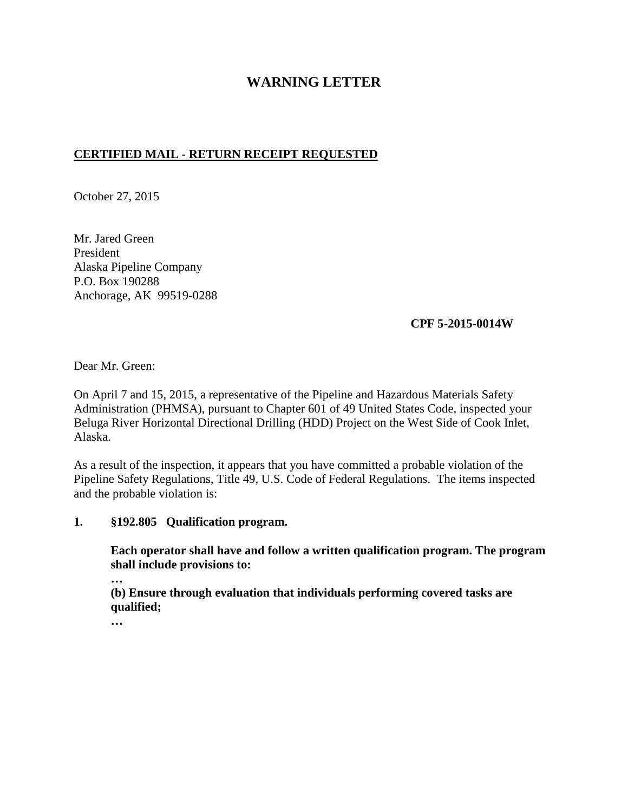## **WARNING LETTER**

## **CERTIFIED MAIL - RETURN RECEIPT REQUESTED**

October 27, 2015

Mr. Jared Green President Alaska Pipeline Company P.O. Box 190288 Anchorage, AK 99519-0288

**CPF 5-2015-0014W** 

Dear Mr. Green:

On April 7 and 15, 2015, a representative of the Pipeline and Hazardous Materials Safety Administration (PHMSA), pursuant to Chapter 601 of 49 United States Code, inspected your Beluga River Horizontal Directional Drilling (HDD) Project on the West Side of Cook Inlet, Alaska.

As a result of the inspection, it appears that you have committed a probable violation of the Pipeline Safety Regulations, Title 49, U.S. Code of Federal Regulations. The items inspected and the probable violation is:

## **1. §192.805 Qualification program.**

**Each operator shall have and follow a written qualification program. The program shall include provisions to:** 

**…** 

**(b) Ensure through evaluation that individuals performing covered tasks are qualified;** 

**…**